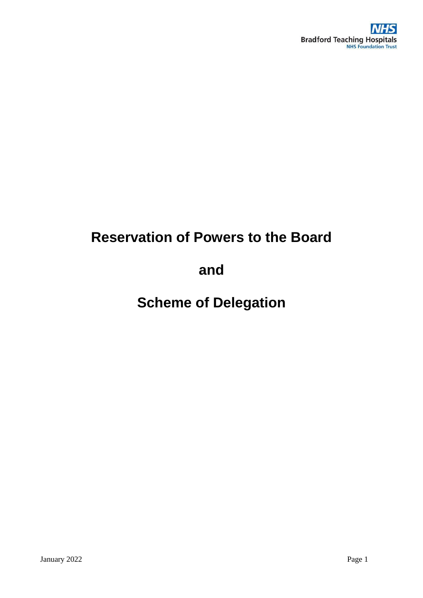

# **Reservation of Powers to the Board**

**and**

**Scheme of Delegation**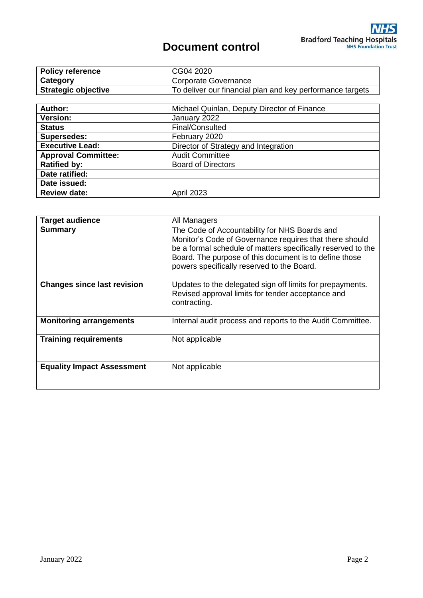# **Document control**

| <b>Policy reference</b>    | CG04 2020                                                 |  |
|----------------------------|-----------------------------------------------------------|--|
| Category                   | Corporate Governance                                      |  |
| <b>Strategic objective</b> | To deliver our financial plan and key performance targets |  |
|                            |                                                           |  |
| <b>Author:</b>             | Michael Quinlan, Deputy Director of Finance               |  |
| <b>Version:</b>            | January 2022                                              |  |
| __                         |                                                           |  |

| <b>Status</b>              | Final/Consulted                      |  |
|----------------------------|--------------------------------------|--|
| Supersedes:                | February 2020                        |  |
| <b>Executive Lead:</b>     | Director of Strategy and Integration |  |
| <b>Approval Committee:</b> | <b>Audit Committee</b>               |  |
| <b>Ratified by:</b>        | <b>Board of Directors</b>            |  |
| Date ratified:             |                                      |  |
| Date issued:               |                                      |  |
| <b>Review date:</b>        | <b>April 2023</b>                    |  |
|                            |                                      |  |

| <b>Target audience</b>             | All Managers                                                                                                                                                                                                                                                                     |
|------------------------------------|----------------------------------------------------------------------------------------------------------------------------------------------------------------------------------------------------------------------------------------------------------------------------------|
| <b>Summary</b>                     | The Code of Accountability for NHS Boards and<br>Monitor's Code of Governance requires that there should<br>be a formal schedule of matters specifically reserved to the<br>Board. The purpose of this document is to define those<br>powers specifically reserved to the Board. |
| <b>Changes since last revision</b> | Updates to the delegated sign off limits for prepayments.<br>Revised approval limits for tender acceptance and<br>contracting.                                                                                                                                                   |
| <b>Monitoring arrangements</b>     | Internal audit process and reports to the Audit Committee.                                                                                                                                                                                                                       |
| <b>Training requirements</b>       | Not applicable                                                                                                                                                                                                                                                                   |
| <b>Equality Impact Assessment</b>  | Not applicable                                                                                                                                                                                                                                                                   |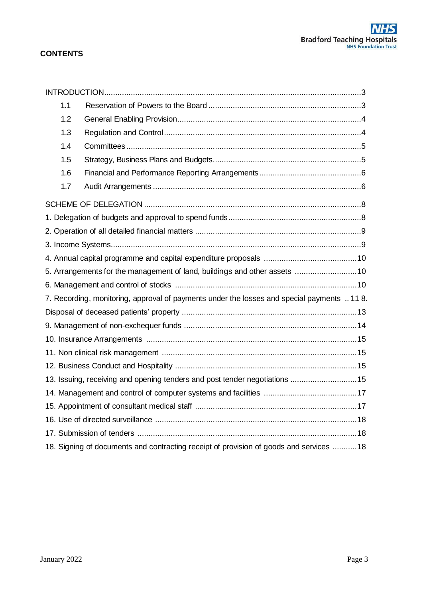# **CONTENTS**

| 1.1                                                                         |                                                                                             |  |  |  |
|-----------------------------------------------------------------------------|---------------------------------------------------------------------------------------------|--|--|--|
| 1.2                                                                         |                                                                                             |  |  |  |
| 1.3                                                                         |                                                                                             |  |  |  |
| 1.4                                                                         |                                                                                             |  |  |  |
| 1.5                                                                         |                                                                                             |  |  |  |
| 1.6                                                                         |                                                                                             |  |  |  |
| 1.7                                                                         |                                                                                             |  |  |  |
|                                                                             |                                                                                             |  |  |  |
|                                                                             |                                                                                             |  |  |  |
|                                                                             |                                                                                             |  |  |  |
|                                                                             |                                                                                             |  |  |  |
|                                                                             |                                                                                             |  |  |  |
|                                                                             | 5. Arrangements for the management of land, buildings and other assets 10                   |  |  |  |
|                                                                             |                                                                                             |  |  |  |
|                                                                             | 7. Recording, monitoring, approval of payments under the losses and special payments  11 8. |  |  |  |
|                                                                             |                                                                                             |  |  |  |
|                                                                             |                                                                                             |  |  |  |
|                                                                             |                                                                                             |  |  |  |
|                                                                             |                                                                                             |  |  |  |
|                                                                             |                                                                                             |  |  |  |
| 13. Issuing, receiving and opening tenders and post tender negotiations  15 |                                                                                             |  |  |  |
|                                                                             |                                                                                             |  |  |  |
|                                                                             |                                                                                             |  |  |  |
|                                                                             |                                                                                             |  |  |  |
|                                                                             |                                                                                             |  |  |  |
|                                                                             | 18. Signing of documents and contracting receipt of provision of goods and services  18     |  |  |  |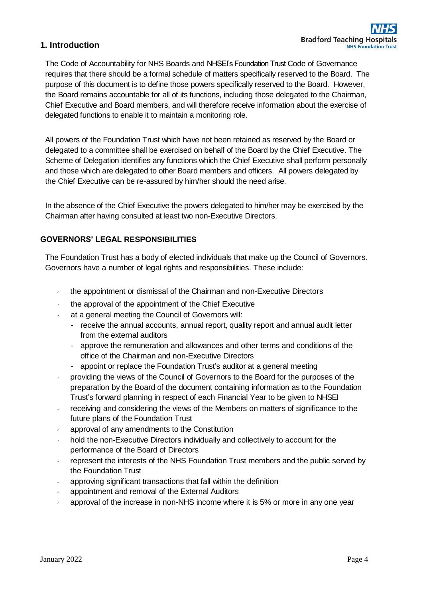## **1. Introduction**

The Code of Accountability for NHS Boards and NHSEI's Foundation Trust Code of Governance requires that there should be a formal schedule of matters specifically reserved to the Board. The purpose of this document is to define those powers specifically reserved to the Board. However, the Board remains accountable for all of its functions, including those delegated to the Chairman, Chief Executive and Board members, and will therefore receive information about the exercise of delegated functions to enable it to maintain a monitoring role.

All powers of the Foundation Trust which have not been retained as reserved by the Board or delegated to a committee shall be exercised on behalf of the Board by the Chief Executive. The Scheme of Delegation identifies any functions which the Chief Executive shall perform personally and those which are delegated to other Board members and officers. All powers delegated by the Chief Executive can be re-assured by him/her should the need arise.

In the absence of the Chief Executive the powers delegated to him/her may be exercised by the Chairman after having consulted at least two non-Executive Directors.

#### **GOVERNORS' LEGAL RESPONSIBILITIES**

The Foundation Trust has a body of elected individuals that make up the Council of Governors. Governors have a number of legal rights and responsibilities. These include:

- <span id="page-3-0"></span>the appointment or dismissal of the Chairman and non-Executive Directors  $\mathcal{L}$
- the approval of the appointment of the Chief Executive
- at a general meeting the Council of Governors will:
	- receive the annual accounts, annual report, quality report and annual audit letter from the external auditors
	- approve the remuneration and allowances and other terms and conditions of the office of the Chairman and non-Executive Directors
	- appoint or replace the Foundation Trust's auditor at a general meeting
- providing the views of the Council of Governors to the Board for the purposes of the preparation by the Board of the document containing information as to the Foundation Trust's forward planning in respect of each Financial Year to be given to NHSEI
- receiving and considering the views of the Members on matters of significance to the future plans of the Foundation Trust
- approval of any amendments to the Constitution
- hold the non-Executive Directors individually and collectively to account for the performance of the Board of Directors
- represent the interests of the NHS Foundation Trust members and the public served by the Foundation Trust
- approving significant transactions that fall within the definition
- appointment and removal of the External Auditors
- approval of the increase in non-NHS income where it is 5% or more in any one year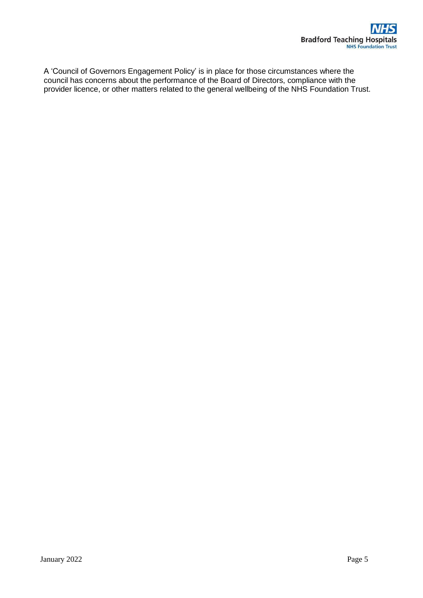A 'Council of Governors Engagement Policy' is in place for those circumstances where the council has concerns about the performance of the Board of Directors, compliance with the provider licence, or other matters related to the general wellbeing of the NHS Foundation Trust.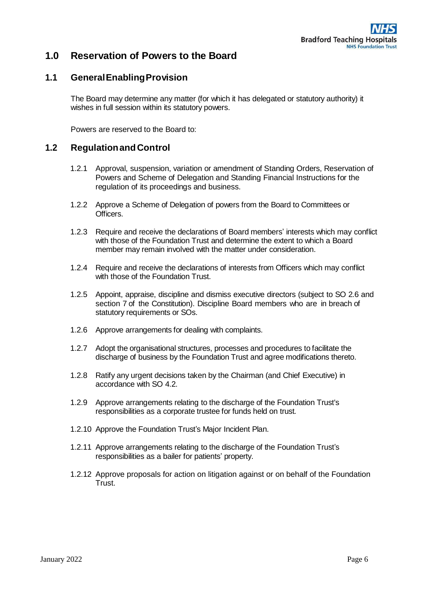

# **1.0 Reservation of Powers to the Board**

#### <span id="page-5-0"></span>**1.1 GeneralEnablingProvision**

The Board may determine any matter (for which it has delegated or statutory authority) it wishes in full session within its statutory powers.

Powers are reserved to the Board to:

#### <span id="page-5-1"></span>**1.2 RegulationandControl**

- 1.2.1 Approval, suspension, variation or amendment of Standing Orders, Reservation of Powers and Scheme of Delegation and Standing Financial Instructions for the regulation of its proceedings and business.
- 1.2.2 Approve a Scheme of Delegation of powers from the Board to Committees or Officers.
- 1.2.3 Require and receive the declarations of Board members' interests which may conflict with those of the Foundation Trust and determine the extent to which a Board member may remain involved with the matter under consideration.
- 1.2.4 Require and receive the declarations of interests from Officers which may conflict with those of the Foundation Trust.
- 1.2.5 Appoint, appraise, discipline and dismiss executive directors (subject to SO 2.6 and section 7 of the Constitution). Discipline Board members who are in breach of statutory requirements or SOs.
- 1.2.6 Approve arrangements for dealing with complaints.
- 1.2.7 Adopt the organisational structures, processes and procedures to facilitate the discharge of business by the Foundation Trust and agree modifications thereto.
- 1.2.8 Ratify any urgent decisions taken by the Chairman (and Chief Executive) in accordance with SO 4.2.
- 1.2.9 Approve arrangements relating to the discharge of the Foundation Trust's responsibilities as a corporate trustee for funds held on trust.
- 1.2.10 Approve the Foundation Trust's Major Incident Plan.
- 1.2.11 Approve arrangements relating to the discharge of the Foundation Trust's responsibilities as a bailer for patients' property.
- 1.2.12 Approve proposals for action on litigation against or on behalf of the Foundation Trust.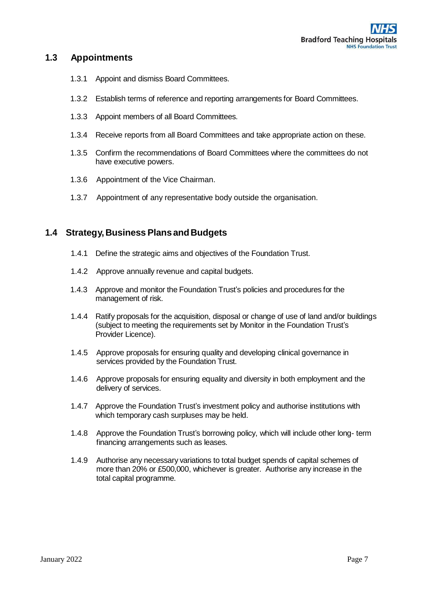## <span id="page-6-0"></span>**1.3 Appointments**

- 1.3.1 Appoint and dismiss Board Committees.
- 1.3.2 Establish terms of reference and reporting arrangements for Board Committees.
- 1.3.3 Appoint members of all Board Committees.
- 1.3.4 Receive reports from all Board Committees and take appropriate action on these.
- 1.3.5 Confirm the recommendations of Board Committees where the committees do not have executive powers.
- 1.3.6 Appointment of the Vice Chairman.
- 1.3.7 Appointment of any representative body outside the organisation.

#### <span id="page-6-1"></span>**1.4 Strategy,Business PlansandBudgets**

- 1.4.1 Define the strategic aims and objectives of the Foundation Trust.
- 1.4.2 Approve annually revenue and capital budgets.
- 1.4.3 Approve and monitor the Foundation Trust's policies and procedures for the management of risk.
- 1.4.4 Ratify proposals for the acquisition, disposal or change of use of land and/or buildings (subject to meeting the requirements set by Monitor in the Foundation Trust's Provider Licence).
- 1.4.5 Approve proposals for ensuring quality and developing clinical governance in services provided by the Foundation Trust.
- 1.4.6 Approve proposals for ensuring equality and diversity in both employment and the delivery of services.
- 1.4.7 Approve the Foundation Trust's investment policy and authorise institutions with which temporary cash surpluses may be held.
- 1.4.8 Approve the Foundation Trust's borrowing policy, which will include other long- term financing arrangements such as leases.
- 1.4.9 Authorise any necessary variations to total budget spends of capital schemes of more than 20% or £500,000, whichever is greater. Authorise any increase in the total capital programme.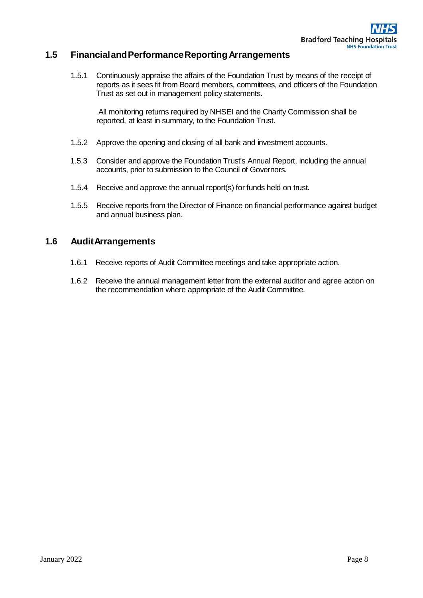## <span id="page-7-0"></span>**1.5 FinancialandPerformanceReportingArrangements**

1.5.1 Continuously appraise the affairs of the Foundation Trust by means of the receipt of reports as it sees fit from Board members, committees, and officers of the Foundation Trust as set out in management policy statements.

All monitoring returns required by NHSEI and the Charity Commission shall be reported, at least in summary, to the Foundation Trust.

- 1.5.2 Approve the opening and closing of all bank and investment accounts.
- 1.5.3 Consider and approve the Foundation Trust's Annual Report, including the annual accounts, prior to submission to the Council of Governors.
- 1.5.4 Receive and approve the annual report(s) for funds held on trust.
- 1.5.5 Receive reports from the Director of Finance on financial performance against budget and annual business plan.

#### <span id="page-7-1"></span>**1.6 AuditArrangements**

- 1.6.1 Receive reports of Audit Committee meetings and take appropriate action.
- 1.6.2 Receive the annual management letter from the external auditor and agree action on the recommendation where appropriate of the Audit Committee.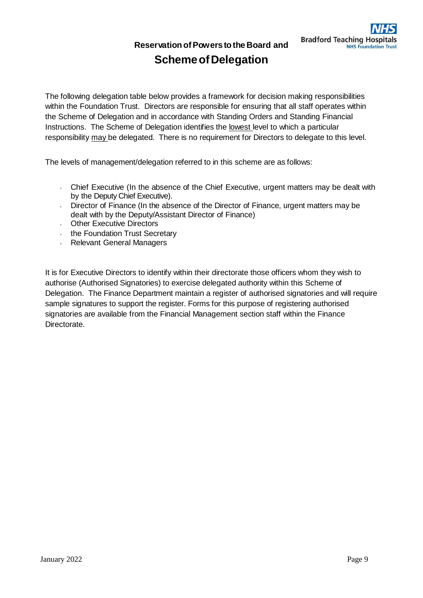**ReservationofPowers tothe Board and**

# **SchemeofDelegation**

The following delegation table below provides a framework for decision making responsibilities within the Foundation Trust. Directors are responsible for ensuring that all staff operates within the Scheme of Delegation and in accordance with Standing Orders and Standing Financial Instructions. The Scheme of Delegation identifies the lowest level to which a particular responsibility may be delegated. There is no requirement for Directors to delegate to this level.

The levels of management/delegation referred to in this scheme are as follows:

- Chief Executive (In the absence of the Chief Executive, urgent matters may be dealt with by the Deputy Chief Executive).
- Director of Finance (In the absence of the Director of Finance, urgent matters may be dealt with by the Deputy/Assistant Director of Finance)
- **Cother Executive Directors**
- the Foundation Trust Secretary
- Relevant General Managers

It is for Executive Directors to identify within their directorate those officers whom they wish to authorise (Authorised Signatories) to exercise delegated authority within this Scheme of Delegation. The Finance Department maintain a register of authorised signatories and will require sample signatures to support the register. Forms for this purpose of registering authorised signatories are available from the Financial Management section staff within the Finance Directorate.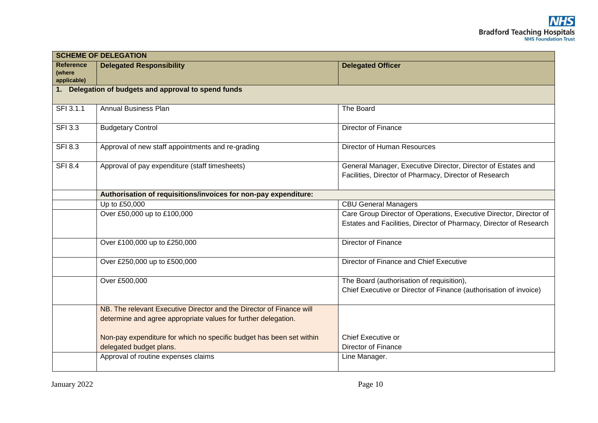|                                           | <b>SCHEME OF DELEGATION</b>                                                                                                            |                                                                                                                                          |
|-------------------------------------------|----------------------------------------------------------------------------------------------------------------------------------------|------------------------------------------------------------------------------------------------------------------------------------------|
| <b>Reference</b><br>(where<br>applicable) | <b>Delegated Responsibility</b>                                                                                                        | <b>Delegated Officer</b>                                                                                                                 |
|                                           | 1. Delegation of budgets and approval to spend funds                                                                                   |                                                                                                                                          |
| SFI 3.1.1                                 | <b>Annual Business Plan</b>                                                                                                            | The Board                                                                                                                                |
| <b>SFI 3.3</b>                            | <b>Budgetary Control</b>                                                                                                               | Director of Finance                                                                                                                      |
| <b>SFI 8.3</b>                            | Approval of new staff appointments and re-grading                                                                                      | <b>Director of Human Resources</b>                                                                                                       |
| <b>SFI 8.4</b>                            | Approval of pay expenditure (staff timesheets)                                                                                         | General Manager, Executive Director, Director of Estates and<br>Facilities, Director of Pharmacy, Director of Research                   |
|                                           | Authorisation of requisitions/invoices for non-pay expenditure:                                                                        |                                                                                                                                          |
|                                           | Up to £50,000                                                                                                                          | <b>CBU General Managers</b>                                                                                                              |
|                                           | Over £50,000 up to £100,000                                                                                                            | Care Group Director of Operations, Executive Director, Director of<br>Estates and Facilities, Director of Pharmacy, Director of Research |
|                                           | Over £100,000 up to £250,000                                                                                                           | Director of Finance                                                                                                                      |
|                                           | Over £250,000 up to £500,000                                                                                                           | Director of Finance and Chief Executive                                                                                                  |
|                                           | Over £500,000                                                                                                                          | The Board (authorisation of requisition),<br>Chief Executive or Director of Finance (authorisation of invoice)                           |
|                                           | NB. The relevant Executive Director and the Director of Finance will<br>determine and agree appropriate values for further delegation. |                                                                                                                                          |
|                                           | Non-pay expenditure for which no specific budget has been set within<br>delegated budget plans.                                        | Chief Executive or<br><b>Director of Finance</b>                                                                                         |
|                                           | Approval of routine expenses claims                                                                                                    | Line Manager.                                                                                                                            |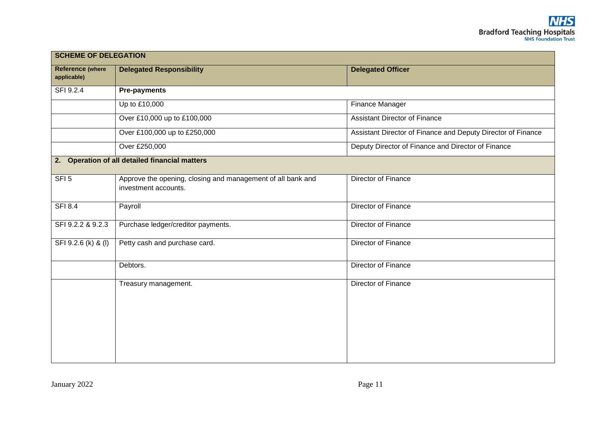| <b>SCHEME OF DELEGATION</b>            |                                                                                     |                                                              |
|----------------------------------------|-------------------------------------------------------------------------------------|--------------------------------------------------------------|
| <b>Reference (where</b><br>applicable) | <b>Delegated Responsibility</b>                                                     | <b>Delegated Officer</b>                                     |
| SFI 9.2.4                              | <b>Pre-payments</b>                                                                 |                                                              |
|                                        | Up to £10,000                                                                       | Finance Manager                                              |
|                                        | Over £10,000 up to £100,000                                                         | <b>Assistant Director of Finance</b>                         |
|                                        | Over £100,000 up to £250,000                                                        | Assistant Director of Finance and Deputy Director of Finance |
|                                        | Over £250,000                                                                       | Deputy Director of Finance and Director of Finance           |
|                                        | 2. Operation of all detailed financial matters                                      |                                                              |
| SFI <sub>5</sub>                       | Approve the opening, closing and management of all bank and<br>investment accounts. | Director of Finance                                          |
| <b>SFI 8.4</b>                         | Payroll                                                                             | Director of Finance                                          |
| SFI 9.2.2 & 9.2.3                      | Purchase ledger/creditor payments.                                                  | Director of Finance                                          |
| SFI 9.2.6 (k) & (l)                    | Petty cash and purchase card.                                                       | Director of Finance                                          |
|                                        | Debtors.                                                                            | Director of Finance                                          |
|                                        | Treasury management.                                                                | Director of Finance                                          |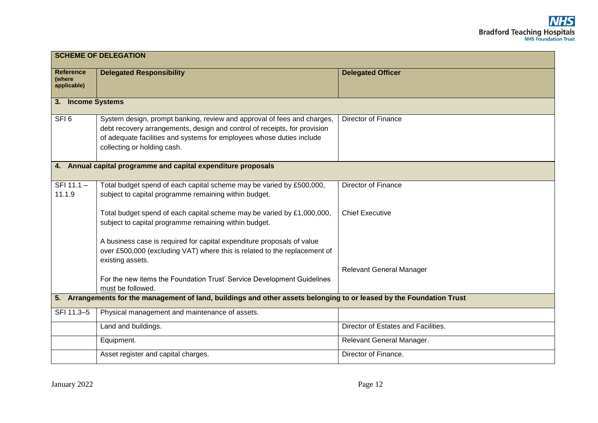|                                                                                                                          | <b>SCHEME OF DELEGATION</b>                                                                                                                                                                                                                                  |                                     |  |
|--------------------------------------------------------------------------------------------------------------------------|--------------------------------------------------------------------------------------------------------------------------------------------------------------------------------------------------------------------------------------------------------------|-------------------------------------|--|
| <b>Reference</b><br>(where<br>applicable)                                                                                | <b>Delegated Responsibility</b>                                                                                                                                                                                                                              | <b>Delegated Officer</b>            |  |
| 3. Income Systems                                                                                                        |                                                                                                                                                                                                                                                              |                                     |  |
| SFI <sub>6</sub>                                                                                                         | System design, prompt banking, review and approval of fees and charges,<br>debt recovery arrangements, design and control of receipts, for provision<br>of adequate facilities and systems for employees whose duties include<br>collecting or holding cash. | Director of Finance                 |  |
| 4. Annual capital programme and capital expenditure proposals                                                            |                                                                                                                                                                                                                                                              |                                     |  |
| SFI 11.1 -<br>11.1.9                                                                                                     | Total budget spend of each capital scheme may be varied by £500,000,<br>subject to capital programme remaining within budget.                                                                                                                                | Director of Finance                 |  |
|                                                                                                                          | Total budget spend of each capital scheme may be varied by £1,000,000,<br>subject to capital programme remaining within budget.                                                                                                                              | <b>Chief Executive</b>              |  |
|                                                                                                                          | A business case is required for capital expenditure proposals of value<br>over £500,000 (excluding VAT) where this is related to the replacement of<br>existing assets.                                                                                      |                                     |  |
|                                                                                                                          | For the new items the Foundation Trust' Service Development Guidelines<br>must be followed.                                                                                                                                                                  | <b>Relevant General Manager</b>     |  |
| Arrangements for the management of land, buildings and other assets belonging to or leased by the Foundation Trust<br>5. |                                                                                                                                                                                                                                                              |                                     |  |
| SFI 11.3-5                                                                                                               | Physical management and maintenance of assets.                                                                                                                                                                                                               |                                     |  |
|                                                                                                                          | Land and buildings.                                                                                                                                                                                                                                          | Director of Estates and Facilities. |  |
|                                                                                                                          | Equipment.                                                                                                                                                                                                                                                   | Relevant General Manager.           |  |
|                                                                                                                          | Asset register and capital charges.                                                                                                                                                                                                                          | Director of Finance.                |  |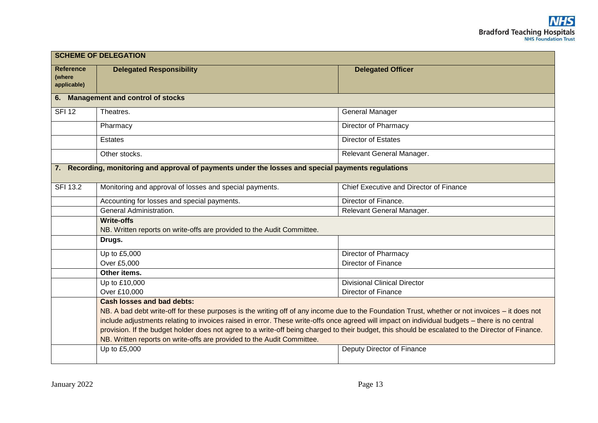|                                                                                                     | <b>SCHEME OF DELEGATION</b>                                                                                                                       |                                         |  |
|-----------------------------------------------------------------------------------------------------|---------------------------------------------------------------------------------------------------------------------------------------------------|-----------------------------------------|--|
| <b>Reference</b><br>(where<br>applicable)                                                           | <b>Delegated Responsibility</b>                                                                                                                   | <b>Delegated Officer</b>                |  |
|                                                                                                     | 6. Management and control of stocks                                                                                                               |                                         |  |
| <b>SFI 12</b>                                                                                       | Theatres.                                                                                                                                         | <b>General Manager</b>                  |  |
|                                                                                                     | Pharmacy                                                                                                                                          | <b>Director of Pharmacy</b>             |  |
|                                                                                                     | <b>Estates</b>                                                                                                                                    | <b>Director of Estates</b>              |  |
|                                                                                                     | Other stocks.                                                                                                                                     | Relevant General Manager.               |  |
| 7. Recording, monitoring and approval of payments under the losses and special payments regulations |                                                                                                                                                   |                                         |  |
| <b>SFI 13.2</b>                                                                                     | Monitoring and approval of losses and special payments.                                                                                           | Chief Executive and Director of Finance |  |
|                                                                                                     | Accounting for losses and special payments.                                                                                                       | Director of Finance.                    |  |
|                                                                                                     | General Administration.                                                                                                                           | Relevant General Manager.               |  |
|                                                                                                     | <b>Write-offs</b>                                                                                                                                 |                                         |  |
|                                                                                                     | NB. Written reports on write-offs are provided to the Audit Committee.                                                                            |                                         |  |
|                                                                                                     | Drugs.                                                                                                                                            |                                         |  |
|                                                                                                     | Up to £5,000                                                                                                                                      | Director of Pharmacy                    |  |
|                                                                                                     | Over £5,000                                                                                                                                       | Director of Finance                     |  |
|                                                                                                     | Other items.                                                                                                                                      |                                         |  |
|                                                                                                     | Up to £10,000                                                                                                                                     | <b>Divisional Clinical Director</b>     |  |
|                                                                                                     | Over £10,000                                                                                                                                      | Director of Finance                     |  |
|                                                                                                     | <b>Cash losses and bad debts:</b>                                                                                                                 |                                         |  |
|                                                                                                     | NB. A bad debt write-off for these purposes is the writing off of any income due to the Foundation Trust, whether or not invoices – it does not   |                                         |  |
|                                                                                                     | include adjustments relating to invoices raised in error. These write-offs once agreed will impact on individual budgets - there is no central    |                                         |  |
|                                                                                                     | provision. If the budget holder does not agree to a write-off being charged to their budget, this should be escalated to the Director of Finance. |                                         |  |
|                                                                                                     | NB. Written reports on write-offs are provided to the Audit Committee.                                                                            |                                         |  |
|                                                                                                     | Up to £5,000                                                                                                                                      | Deputy Director of Finance              |  |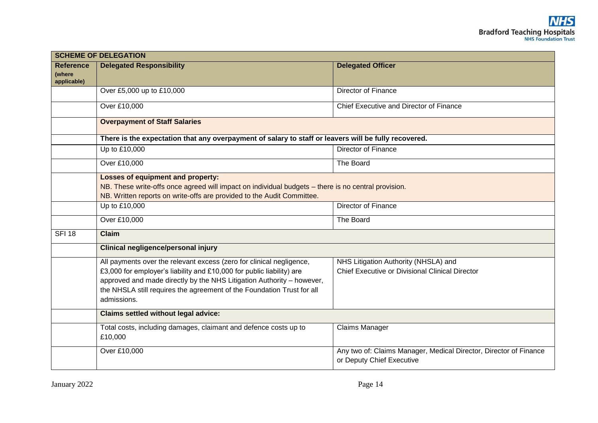| <b>SCHEME OF DELEGATION</b>               |                                                                                                                                                                                                                                                                                                                 |                                                                                                |
|-------------------------------------------|-----------------------------------------------------------------------------------------------------------------------------------------------------------------------------------------------------------------------------------------------------------------------------------------------------------------|------------------------------------------------------------------------------------------------|
| <b>Reference</b><br>(where<br>applicable) | <b>Delegated Responsibility</b>                                                                                                                                                                                                                                                                                 | <b>Delegated Officer</b>                                                                       |
|                                           | Over £5,000 up to £10,000                                                                                                                                                                                                                                                                                       | Director of Finance                                                                            |
|                                           | Over £10,000                                                                                                                                                                                                                                                                                                    | Chief Executive and Director of Finance                                                        |
|                                           | <b>Overpayment of Staff Salaries</b>                                                                                                                                                                                                                                                                            |                                                                                                |
|                                           | There is the expectation that any overpayment of salary to staff or leavers will be fully recovered.                                                                                                                                                                                                            |                                                                                                |
|                                           | Up to £10,000                                                                                                                                                                                                                                                                                                   | <b>Director of Finance</b>                                                                     |
|                                           | Over £10,000                                                                                                                                                                                                                                                                                                    | The Board                                                                                      |
|                                           | <b>Losses of equipment and property:</b><br>NB. These write-offs once agreed will impact on individual budgets - there is no central provision.<br>NB. Written reports on write-offs are provided to the Audit Committee.                                                                                       |                                                                                                |
|                                           | Up to £10,000                                                                                                                                                                                                                                                                                                   | <b>Director of Finance</b>                                                                     |
|                                           | Over £10,000                                                                                                                                                                                                                                                                                                    | The Board                                                                                      |
| <b>SFI 18</b>                             | <b>Claim</b>                                                                                                                                                                                                                                                                                                    |                                                                                                |
|                                           | <b>Clinical negligence/personal injury</b>                                                                                                                                                                                                                                                                      |                                                                                                |
|                                           | All payments over the relevant excess (zero for clinical negligence,<br>£3,000 for employer's liability and £10,000 for public liability) are<br>approved and made directly by the NHS Litigation Authority - however,<br>the NHSLA still requires the agreement of the Foundation Trust for all<br>admissions. | NHS Litigation Authority (NHSLA) and<br>Chief Executive or Divisional Clinical Director        |
|                                           | <b>Claims settled without legal advice:</b>                                                                                                                                                                                                                                                                     |                                                                                                |
|                                           | Total costs, including damages, claimant and defence costs up to<br>£10,000                                                                                                                                                                                                                                     | <b>Claims Manager</b>                                                                          |
|                                           | Over £10,000                                                                                                                                                                                                                                                                                                    | Any two of: Claims Manager, Medical Director, Director of Finance<br>or Deputy Chief Executive |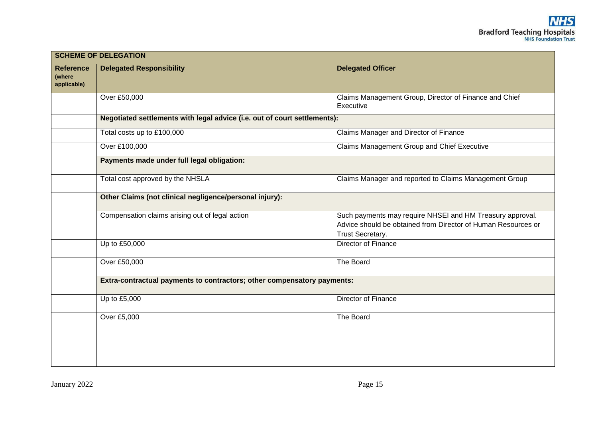| <b>SCHEME OF DELEGATION</b>               |                                                                           |                                                                                                                                                |
|-------------------------------------------|---------------------------------------------------------------------------|------------------------------------------------------------------------------------------------------------------------------------------------|
| <b>Reference</b><br>(where<br>applicable) | <b>Delegated Responsibility</b>                                           | <b>Delegated Officer</b>                                                                                                                       |
|                                           | Over £50,000                                                              | Claims Management Group, Director of Finance and Chief<br>Executive                                                                            |
|                                           | Negotiated settlements with legal advice (i.e. out of court settlements): |                                                                                                                                                |
|                                           | Total costs up to £100,000                                                | Claims Manager and Director of Finance                                                                                                         |
|                                           | Over £100,000                                                             | Claims Management Group and Chief Executive                                                                                                    |
|                                           | Payments made under full legal obligation:                                |                                                                                                                                                |
|                                           | Total cost approved by the NHSLA                                          | Claims Manager and reported to Claims Management Group                                                                                         |
|                                           | Other Claims (not clinical negligence/personal injury):                   |                                                                                                                                                |
|                                           | Compensation claims arising out of legal action                           | Such payments may require NHSEI and HM Treasury approval.<br>Advice should be obtained from Director of Human Resources or<br>Trust Secretary. |
|                                           | Up to £50,000                                                             | Director of Finance                                                                                                                            |
|                                           | Over £50,000                                                              | The Board                                                                                                                                      |
|                                           | Extra-contractual payments to contractors; other compensatory payments:   |                                                                                                                                                |
|                                           | Up to £5,000                                                              | Director of Finance                                                                                                                            |
|                                           | Over £5,000                                                               | The Board                                                                                                                                      |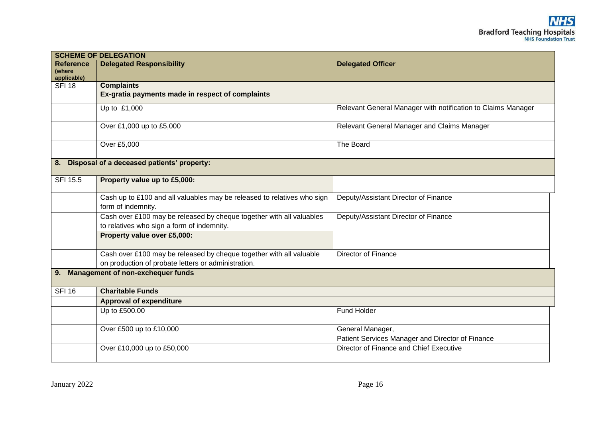|                                           | <b>SCHEME OF DELEGATION</b>                                                                                                |                                                                      |  |
|-------------------------------------------|----------------------------------------------------------------------------------------------------------------------------|----------------------------------------------------------------------|--|
| <b>Reference</b><br>(where<br>applicable) | <b>Delegated Responsibility</b>                                                                                            | <b>Delegated Officer</b>                                             |  |
| <b>SFI 18</b>                             | <b>Complaints</b>                                                                                                          |                                                                      |  |
|                                           | Ex-gratia payments made in respect of complaints                                                                           |                                                                      |  |
|                                           | Up to £1,000                                                                                                               | Relevant General Manager with notification to Claims Manager         |  |
|                                           | Over £1,000 up to £5,000                                                                                                   | Relevant General Manager and Claims Manager                          |  |
|                                           | Over £5,000                                                                                                                | The Board                                                            |  |
|                                           | 8. Disposal of a deceased patients' property:                                                                              |                                                                      |  |
| <b>SFI 15.5</b>                           | Property value up to £5,000:                                                                                               |                                                                      |  |
|                                           | Cash up to £100 and all valuables may be released to relatives who sign<br>form of indemnity.                              | Deputy/Assistant Director of Finance                                 |  |
|                                           | Cash over £100 may be released by cheque together with all valuables<br>to relatives who sign a form of indemnity.         | Deputy/Assistant Director of Finance                                 |  |
|                                           | Property value over £5,000:                                                                                                |                                                                      |  |
|                                           | Cash over £100 may be released by cheque together with all valuable<br>on production of probate letters or administration. | <b>Director of Finance</b>                                           |  |
| 9.                                        | <b>Management of non-exchequer funds</b>                                                                                   |                                                                      |  |
| <b>SFI 16</b>                             | <b>Charitable Funds</b>                                                                                                    |                                                                      |  |
|                                           | <b>Approval of expenditure</b>                                                                                             |                                                                      |  |
|                                           | Up to £500.00                                                                                                              | Fund Holder                                                          |  |
|                                           | Over £500 up to £10,000                                                                                                    | General Manager,<br>Patient Services Manager and Director of Finance |  |
|                                           | Over £10,000 up to £50,000                                                                                                 | Director of Finance and Chief Executive                              |  |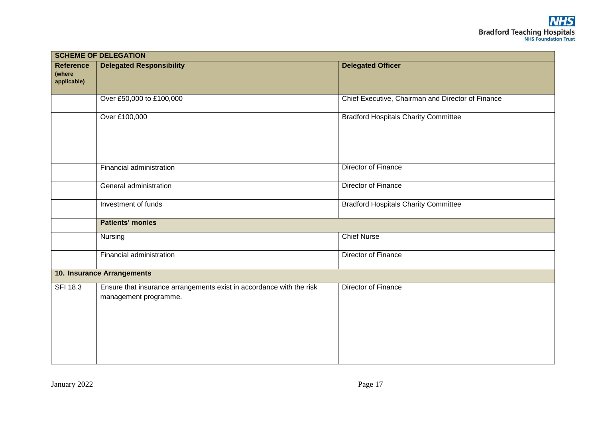|                                           | <b>SCHEME OF DELEGATION</b>                                                                   |                                                   |  |
|-------------------------------------------|-----------------------------------------------------------------------------------------------|---------------------------------------------------|--|
| <b>Reference</b><br>(where<br>applicable) | <b>Delegated Responsibility</b>                                                               | <b>Delegated Officer</b>                          |  |
|                                           | Over £50,000 to £100,000                                                                      | Chief Executive, Chairman and Director of Finance |  |
|                                           | Over £100,000                                                                                 | <b>Bradford Hospitals Charity Committee</b>       |  |
|                                           | Financial administration                                                                      | Director of Finance                               |  |
|                                           | General administration                                                                        | Director of Finance                               |  |
|                                           | Investment of funds                                                                           | <b>Bradford Hospitals Charity Committee</b>       |  |
|                                           | <b>Patients' monies</b>                                                                       |                                                   |  |
|                                           | Nursing                                                                                       | <b>Chief Nurse</b>                                |  |
|                                           | Financial administration                                                                      | Director of Finance                               |  |
|                                           | 10. Insurance Arrangements                                                                    |                                                   |  |
| <b>SFI 18.3</b>                           | Ensure that insurance arrangements exist in accordance with the risk<br>management programme. | Director of Finance                               |  |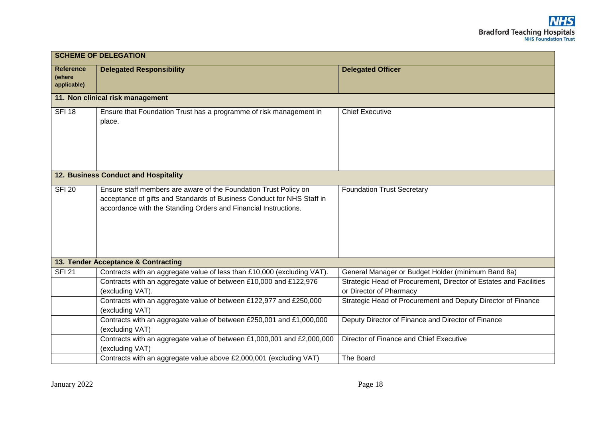| <b>SCHEME OF DELEGATION</b>               |                                                                                                                                                                                                               |                                                                                                                                                    |  |  |
|-------------------------------------------|---------------------------------------------------------------------------------------------------------------------------------------------------------------------------------------------------------------|----------------------------------------------------------------------------------------------------------------------------------------------------|--|--|
| <b>Reference</b><br>(where<br>applicable) | <b>Delegated Responsibility</b>                                                                                                                                                                               | <b>Delegated Officer</b>                                                                                                                           |  |  |
| 11. Non clinical risk management          |                                                                                                                                                                                                               |                                                                                                                                                    |  |  |
| <b>SFI 18</b>                             | Ensure that Foundation Trust has a programme of risk management in<br>place.                                                                                                                                  | <b>Chief Executive</b>                                                                                                                             |  |  |
| 12. Business Conduct and Hospitality      |                                                                                                                                                                                                               |                                                                                                                                                    |  |  |
| <b>SFI 20</b>                             | Ensure staff members are aware of the Foundation Trust Policy on<br>acceptance of gifts and Standards of Business Conduct for NHS Staff in<br>accordance with the Standing Orders and Financial Instructions. | <b>Foundation Trust Secretary</b>                                                                                                                  |  |  |
|                                           | 13. Tender Acceptance & Contracting                                                                                                                                                                           |                                                                                                                                                    |  |  |
| <b>SFI 21</b>                             | Contracts with an aggregate value of less than £10,000 (excluding VAT).<br>Contracts with an aggregate value of between £10,000 and £122,976<br>(excluding VAT).                                              | General Manager or Budget Holder (minimum Band 8a)<br>Strategic Head of Procurement, Director of Estates and Facilities<br>or Director of Pharmacy |  |  |
|                                           | Contracts with an aggregate value of between £122,977 and £250,000<br>(excluding VAT)                                                                                                                         | Strategic Head of Procurement and Deputy Director of Finance                                                                                       |  |  |
|                                           | Contracts with an aggregate value of between £250,001 and £1,000,000<br>(excluding VAT)                                                                                                                       | Deputy Director of Finance and Director of Finance                                                                                                 |  |  |
|                                           | Contracts with an aggregate value of between £1,000,001 and £2,000,000<br>(excluding VAT)                                                                                                                     | Director of Finance and Chief Executive                                                                                                            |  |  |
|                                           | Contracts with an aggregate value above £2,000,001 (excluding VAT)                                                                                                                                            | The Board                                                                                                                                          |  |  |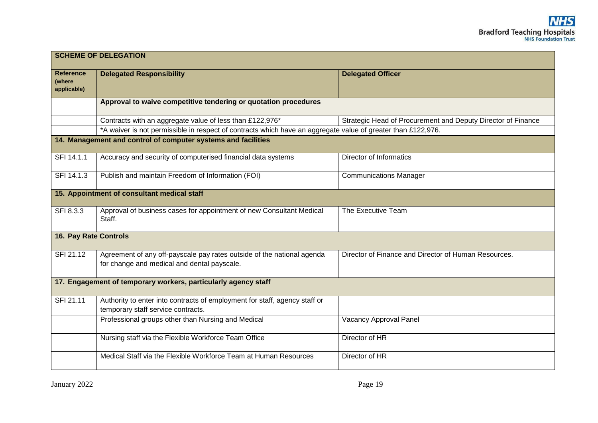| <b>SCHEME OF DELEGATION</b>                                    |                                                                                                                       |                                                              |  |  |
|----------------------------------------------------------------|-----------------------------------------------------------------------------------------------------------------------|--------------------------------------------------------------|--|--|
| <b>Reference</b><br>(where<br>applicable)                      | <b>Delegated Responsibility</b>                                                                                       | <b>Delegated Officer</b>                                     |  |  |
|                                                                | Approval to waive competitive tendering or quotation procedures                                                       |                                                              |  |  |
|                                                                | Contracts with an aggregate value of less than £122,976*                                                              | Strategic Head of Procurement and Deputy Director of Finance |  |  |
|                                                                | *A waiver is not permissible in respect of contracts which have an aggregate value of greater than £122,976.          |                                                              |  |  |
| 14. Management and control of computer systems and facilities  |                                                                                                                       |                                                              |  |  |
| SFI 14.1.1                                                     | Accuracy and security of computerised financial data systems                                                          | Director of Informatics                                      |  |  |
| SFI 14.1.3                                                     | Publish and maintain Freedom of Information (FOI)                                                                     | <b>Communications Manager</b>                                |  |  |
| 15. Appointment of consultant medical staff                    |                                                                                                                       |                                                              |  |  |
| SFI 8.3.3                                                      | Approval of business cases for appointment of new Consultant Medical<br>Staff.                                        | The Executive Team                                           |  |  |
| <b>16. Pay Rate Controls</b>                                   |                                                                                                                       |                                                              |  |  |
| SFI 21.12                                                      | Agreement of any off-payscale pay rates outside of the national agenda<br>for change and medical and dental payscale. | Director of Finance and Director of Human Resources.         |  |  |
| 17. Engagement of temporary workers, particularly agency staff |                                                                                                                       |                                                              |  |  |
| SFI 21.11                                                      | Authority to enter into contracts of employment for staff, agency staff or<br>temporary staff service contracts.      |                                                              |  |  |
|                                                                | Professional groups other than Nursing and Medical                                                                    | <b>Vacancy Approval Panel</b>                                |  |  |
|                                                                | Nursing staff via the Flexible Workforce Team Office                                                                  | Director of HR                                               |  |  |
|                                                                | Medical Staff via the Flexible Workforce Team at Human Resources                                                      | Director of HR                                               |  |  |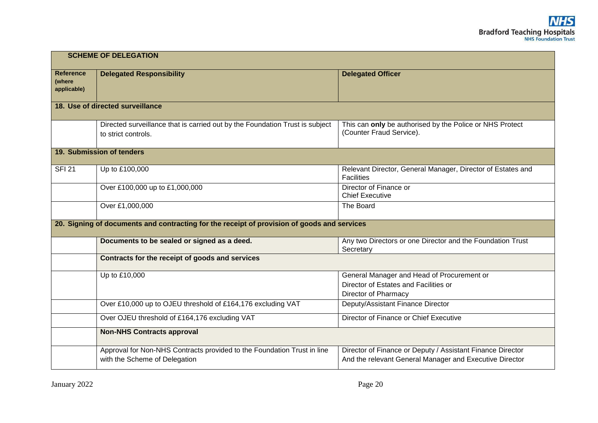| <b>SCHEME OF DELEGATION</b>               |                                                                                                          |                                                                                                                       |  |  |
|-------------------------------------------|----------------------------------------------------------------------------------------------------------|-----------------------------------------------------------------------------------------------------------------------|--|--|
| <b>Reference</b><br>(where<br>applicable) | <b>Delegated Responsibility</b>                                                                          | <b>Delegated Officer</b>                                                                                              |  |  |
| 18. Use of directed surveillance          |                                                                                                          |                                                                                                                       |  |  |
|                                           | Directed surveillance that is carried out by the Foundation Trust is subject<br>to strict controls.      | This can only be authorised by the Police or NHS Protect<br>(Counter Fraud Service).                                  |  |  |
|                                           | 19. Submission of tenders                                                                                |                                                                                                                       |  |  |
| <b>SFI 21</b>                             | Up to £100,000                                                                                           | Relevant Director, General Manager, Director of Estates and<br><b>Facilities</b>                                      |  |  |
|                                           | Over £100,000 up to £1,000,000                                                                           | Director of Finance or<br><b>Chief Executive</b>                                                                      |  |  |
|                                           | Over £1,000,000                                                                                          | The Board                                                                                                             |  |  |
|                                           | 20. Signing of documents and contracting for the receipt of provision of goods and services              |                                                                                                                       |  |  |
|                                           | Documents to be sealed or signed as a deed.                                                              | Any two Directors or one Director and the Foundation Trust<br>Secretary                                               |  |  |
|                                           | Contracts for the receipt of goods and services                                                          |                                                                                                                       |  |  |
|                                           | Up to £10,000                                                                                            | General Manager and Head of Procurement or<br>Director of Estates and Facilities or<br>Director of Pharmacy           |  |  |
|                                           | Over £10,000 up to OJEU threshold of £164,176 excluding VAT                                              | Deputy/Assistant Finance Director                                                                                     |  |  |
|                                           | Over OJEU threshold of £164,176 excluding VAT                                                            | Director of Finance or Chief Executive                                                                                |  |  |
|                                           | <b>Non-NHS Contracts approval</b>                                                                        |                                                                                                                       |  |  |
|                                           | Approval for Non-NHS Contracts provided to the Foundation Trust in line<br>with the Scheme of Delegation | Director of Finance or Deputy / Assistant Finance Director<br>And the relevant General Manager and Executive Director |  |  |